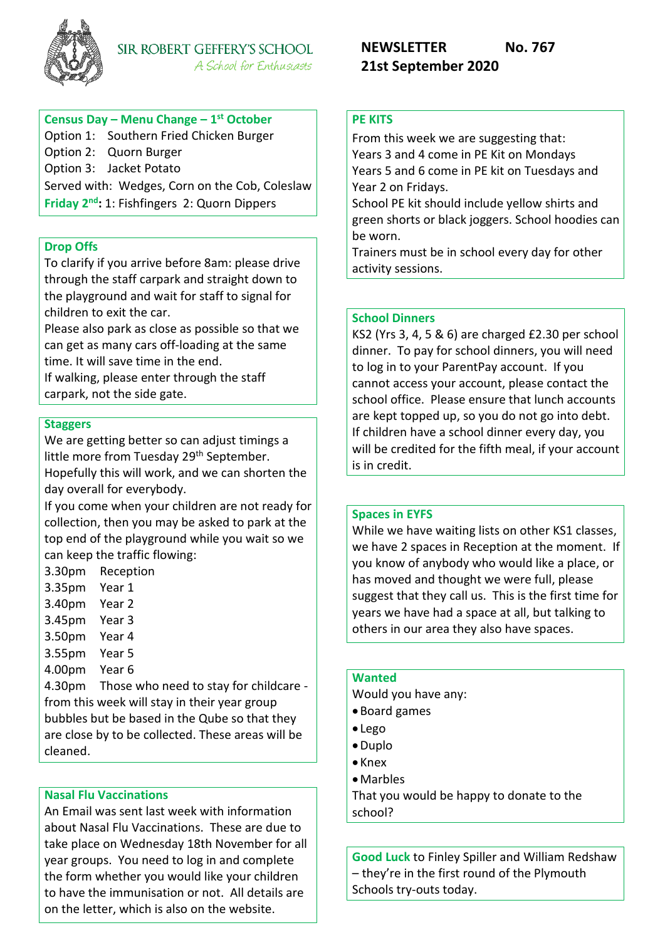

**Census Day – Menu Change – 1 st October**

Option 1: Southern Fried Chicken Burger

Option 2: Quorn Burger

Option 3: Jacket Potato

Served with: Wedges, Corn on the Cob, Coleslaw

**Friday 2nd:** 1: Fishfingers 2: Quorn Dippers

# **Drop Offs**

To clarify if you arrive before 8am: please drive through the staff carpark and straight down to the playground and wait for staff to signal for children to exit the car.

Please also park as close as possible so that we can get as many cars off-loading at the same time. It will save time in the end.

If walking, please enter through the staff carpark, not the side gate.

# **Staggers**

We are getting better so can adjust timings a little more from Tuesday 29<sup>th</sup> September. Hopefully this will work, and we can shorten the day overall for everybody.

If you come when your children are not ready for collection, then you may be asked to park at the top end of the playground while you wait so we can keep the traffic flowing:

- 3.30pm Reception
- 3.35pm Year 1
- 3.40pm Year 2
- 3.45pm Year 3
- 3.50pm Year 4
- 3.55pm Year 5
- 4.00pm Year 6

4.30pm Those who need to stay for childcare from this week will stay in their year group bubbles but be based in the Qube so that they are close by to be collected. These areas will be cleaned.

# **Nasal Flu Vaccinations**

An Email was sent last week with information about Nasal Flu Vaccinations. These are due to take place on Wednesday 18th November for all year groups. You need to log in and complete the form whether you would like your children to have the immunisation or not. All details are on the letter, which is also on the website.

# **PE KITS**

From this week we are suggesting that: Years 3 and 4 come in PE Kit on Mondays Years 5 and 6 come in PE kit on Tuesdays and Year 2 on Fridays.

School PE kit should include yellow shirts and green shorts or black joggers. School hoodies can be worn.

Trainers must be in school every day for other activity sessions.

# **School Dinners**

KS2 (Yrs 3, 4, 5 & 6) are charged £2.30 per school dinner. To pay for school dinners, you will need to log in to your ParentPay account. If you cannot access your account, please contact the school office. Please ensure that lunch accounts are kept topped up, so you do not go into debt. If children have a school dinner every day, you will be credited for the fifth meal, if your account is in credit.

# **Spaces in EYFS**

While we have waiting lists on other KS1 classes, we have 2 spaces in Reception at the moment. If you know of anybody who would like a place, or has moved and thought we were full, please suggest that they call us. This is the first time for years we have had a space at all, but talking to others in our area they also have spaces.

# **Wanted**

Would you have any:

- •Board games
- Lego
- •Duplo
- Knex
- •Marbles

That you would be happy to donate to the school?

**Good Luck** to Finley Spiller and William Redshaw – they're in the first round of the Plymouth Schools try-outs today.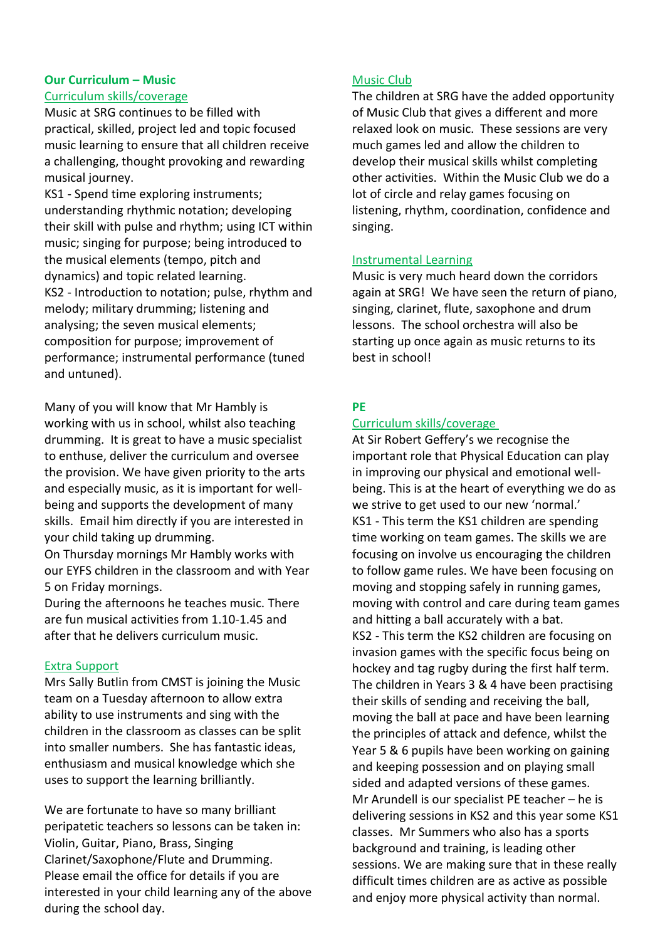## **Our Curriculum – Music** Curriculum skills/coverage

Music at SRG continues to be filled with practical, skilled, project led and topic focused music learning to ensure that all children receive a challenging, thought provoking and rewarding musical journey.

KS1 - Spend time exploring instruments; understanding rhythmic notation; developing their skill with pulse and rhythm; using ICT within music; singing for purpose; being introduced to the musical elements (tempo, pitch and dynamics) and topic related learning. KS2 - Introduction to notation; pulse, rhythm and melody; military drumming; listening and analysing; the seven musical elements; composition for purpose; improvement of performance; instrumental performance (tuned and untuned).

Many of you will know that Mr Hambly is working with us in school, whilst also teaching drumming. It is great to have a music specialist to enthuse, deliver the curriculum and oversee the provision. We have given priority to the arts and especially music, as it is important for wellbeing and supports the development of many skills. Email him directly if you are interested in your child taking up drumming.

On Thursday mornings Mr Hambly works with our EYFS children in the classroom and with Year 5 on Friday mornings.

During the afternoons he teaches music. There are fun musical activities from 1.10-1.45 and after that he delivers curriculum music.

# Extra Support

Mrs Sally Butlin from CMST is joining the Music team on a Tuesday afternoon to allow extra ability to use instruments and sing with the children in the classroom as classes can be split into smaller numbers. She has fantastic ideas, enthusiasm and musical knowledge which she uses to support the learning brilliantly.

We are fortunate to have so many brilliant peripatetic teachers so lessons can be taken in: Violin, Guitar, Piano, Brass, Singing Clarinet/Saxophone/Flute and Drumming. Please email the office for details if you are interested in your child learning any of the above during the school day.

# Music Club

The children at SRG have the added opportunity of Music Club that gives a different and more relaxed look on music. These sessions are very much games led and allow the children to develop their musical skills whilst completing other activities. Within the Music Club we do a lot of circle and relay games focusing on listening, rhythm, coordination, confidence and singing.

# Instrumental Learning

Music is very much heard down the corridors again at SRG! We have seen the return of piano, singing, clarinet, flute, saxophone and drum lessons. The school orchestra will also be starting up once again as music returns to its best in school!

# **PE**

# Curriculum skills/coverage

At Sir Robert Geffery's we recognise the important role that Physical Education can play in improving our physical and emotional wellbeing. This is at the heart of everything we do as we strive to get used to our new 'normal.' KS1 - This term the KS1 children are spending time working on team games. The skills we are focusing on involve us encouraging the children to follow game rules. We have been focusing on moving and stopping safely in running games, moving with control and care during team games and hitting a ball accurately with a bat. KS2 - This term the KS2 children are focusing on invasion games with the specific focus being on hockey and tag rugby during the first half term. The children in Years 3 & 4 have been practising their skills of sending and receiving the ball, moving the ball at pace and have been learning the principles of attack and defence, whilst the Year 5 & 6 pupils have been working on gaining and keeping possession and on playing small sided and adapted versions of these games. Mr Arundell is our specialist PE teacher – he is delivering sessions in KS2 and this year some KS1 classes. Mr Summers who also has a sports background and training, is leading other sessions. We are making sure that in these really difficult times children are as active as possible and enjoy more physical activity than normal.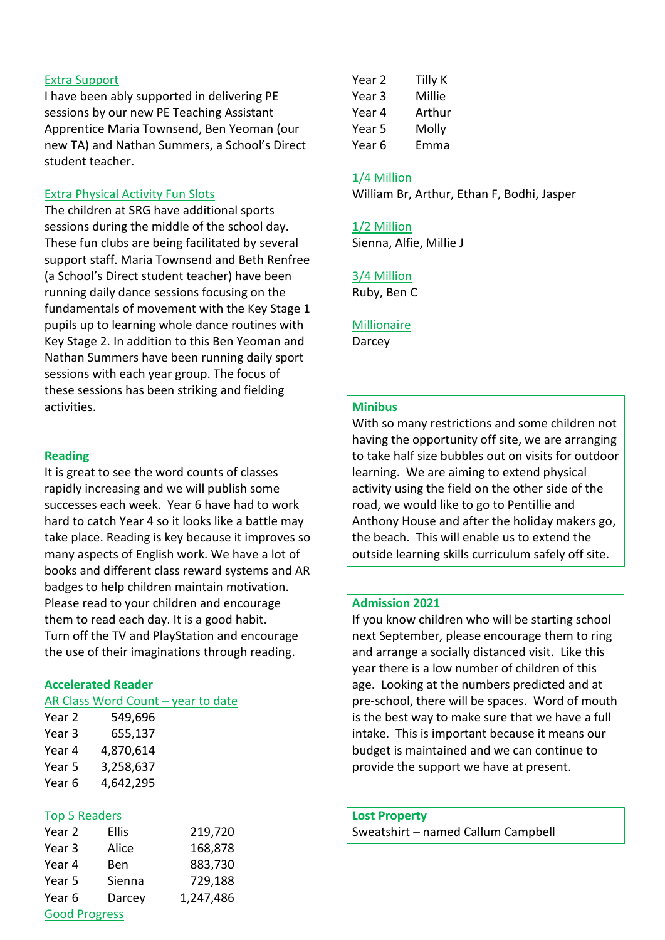## Extra Support

I have been ably supported in delivering PE sessions by our new PE Teaching Assistant Apprentice Maria Townsend, Ben Yeoman (our new TA) and Nathan Summers, a School's Direct student teacher.

## Extra Physical Activity Fun Slots

The children at SRG have additional sports sessions during the middle of the school day. These fun clubs are being facilitated by several support staff. Maria Townsend and Beth Renfree (a School's Direct student teacher) have been running daily dance sessions focusing on the fundamentals of movement with the Key Stage 1 pupils up to learning whole dance routines with Key Stage 2. In addition to this Ben Yeoman and Nathan Summers have been running daily sport sessions with each year group. The focus of these sessions has been striking and fielding activities.

#### **Reading**

It is great to see the word counts of classes rapidly increasing and we will publish some successes each week. Year 6 have had to work hard to catch Year 4 so it looks like a battle may take place. Reading is key because it improves so many aspects of English work. We have a lot of books and different class reward systems and AR badges to help children maintain motivation. Please read to your children and encourage them to read each day. It is a good habit. Turn off the TV and PlayStation and encourage the use of their imaginations through reading.

## **Accelerated Reader**

| AR Class Word Count - year to date |           |  |  |
|------------------------------------|-----------|--|--|
| Year 2                             | 549,696   |  |  |
| Year 3                             | 655,137   |  |  |
| Year 4                             | 4,870,614 |  |  |
| Year 5                             | 3,258,637 |  |  |
| Year 6                             | 4,642,295 |  |  |

#### Top 5 Readers

| Year 2               | <b>Ellis</b> | 219,720   |  |
|----------------------|--------------|-----------|--|
| Year <sub>3</sub>    | Alice        | 168,878   |  |
| Year 4               | Ben          | 883,730   |  |
| Year 5               | Sienna       | 729,188   |  |
| Year <sub>6</sub>    | Darcey       | 1,247,486 |  |
| <b>Good Progress</b> |              |           |  |

| Year 2            | Tilly K |
|-------------------|---------|
| Year <sub>3</sub> | Millie  |
| Year 4            | Arthur  |
| Year 5            | Molly   |
| Year 6            | Emma    |

#### 1/4 Million

William Br, Arthur, Ethan F, Bodhi, Jasper

#### 1/2 Million

Sienna, Alfie, Millie J

#### 3/4 Million

Ruby, Ben C

# **Millionaire**

Darcey

#### **Minibus**

With so many restrictions and some children not having the opportunity off site, we are arranging to take half size bubbles out on visits for outdoor learning. We are aiming to extend physical activity using the field on the other side of the road, we would like to go to Pentillie and Anthony House and after the holiday makers go, the beach. This will enable us to extend the outside learning skills curriculum safely off site.

#### **Admission 2021**

If you know children who will be starting school next September, please encourage them to ring and arrange a socially distanced visit. Like this year there is a low number of children of this age. Looking at the numbers predicted and at pre-school, there will be spaces. Word of mouth is the best way to make sure that we have a full intake. This is important because it means our budget is maintained and we can continue to provide the support we have at present.

#### **Lost Property** Sweatshirt – named Callum Campbell